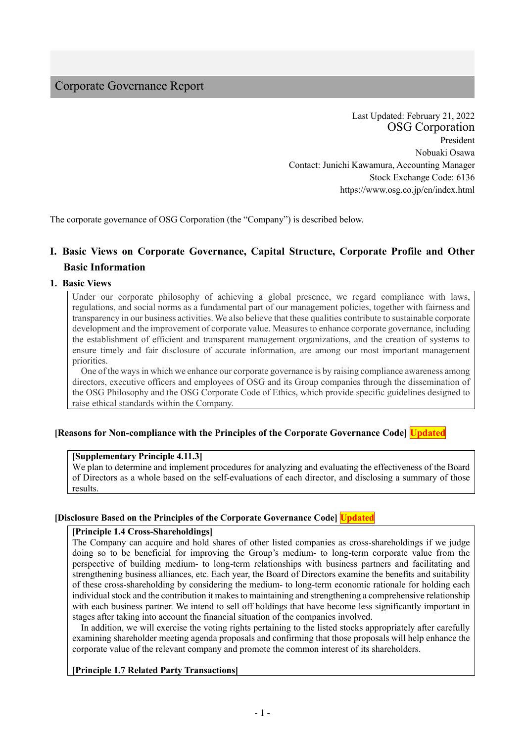# Corporate Governance Report

Last Updated: February 21, 2022 OSG Corporation President Nobuaki Osawa Contact: Junichi Kawamura, Accounting Manager Stock Exchange Code: 6136 https://www.osg.co.jp/en/index.html

The corporate governance of OSG Corporation (the "Company") is described below.

# **Ⅰ. Basic Views on Corporate Governance, Capital Structure, Corporate Profile and Other Basic Information**

#### **1. Basic Views**

Under our corporate philosophy of achieving a global presence, we regard compliance with laws, regulations, and social norms as a fundamental part of our management policies, together with fairness and transparency in our business activities. We also believe that these qualities contribute to sustainable corporate development and the improvement of corporate value. Measures to enhance corporate governance, including the establishment of efficient and transparent management organizations, and the creation of systems to ensure timely and fair disclosure of accurate information, are among our most important management priorities.

One of the ways in which we enhance our corporate governance is by raising compliance awareness among directors, executive officers and employees of OSG and its Group companies through the dissemination of the OSG Philosophy and the OSG Corporate Code of Ethics, which provide specific guidelines designed to raise ethical standards within the Company.

#### **[Reasons for Non-compliance with the Principles of the Corporate Governance Code] Updated**

#### **[Supplementary Principle 4.11.3]**

We plan to determine and implement procedures for analyzing and evaluating the effectiveness of the Board of Directors as a whole based on the self-evaluations of each director, and disclosing a summary of those results.

#### **[Disclosure Based on the Principles of the Corporate Governance Code] Updated**

#### **[Principle 1.4 Cross-Shareholdings]**

The Company can acquire and hold shares of other listed companies as cross-shareholdings if we judge doing so to be beneficial for improving the Group's medium- to long-term corporate value from the perspective of building medium- to long-term relationships with business partners and facilitating and strengthening business alliances, etc. Each year, the Board of Directors examine the benefits and suitability of these cross-shareholding by considering the medium- to long-term economic rationale for holding each individual stock and the contribution it makes to maintaining and strengthening a comprehensive relationship with each business partner. We intend to sell off holdings that have become less significantly important in stages after taking into account the financial situation of the companies involved.

In addition, we will exercise the voting rights pertaining to the listed stocks appropriately after carefully examining shareholder meeting agenda proposals and confirming that those proposals will help enhance the corporate value of the relevant company and promote the common interest of its shareholders.

#### **[Principle 1.7 Related Party Transactions]**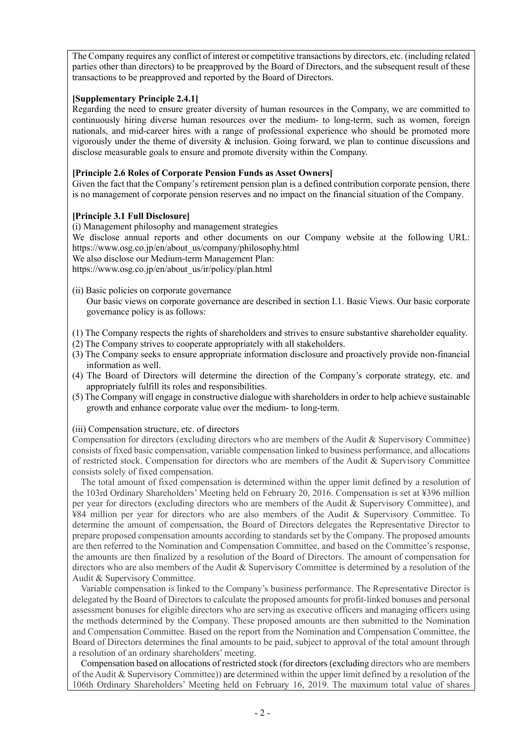The Company requires any conflict of interest or competitive transactions by directors, etc. (including related parties other than directors) to be preapproved by the Board of Directors, and the subsequent result of these transactions to be preapproved and reported by the Board of Directors.

#### **[Supplementary Principle 2.4.1]**

Regarding the need to ensure greater diversity of human resources in the Company, we are committed to continuously hiring diverse human resources over the medium- to long-term, such as women, foreign nationals, and mid-career hires with a range of professional experience who should be promoted more vigorously under the theme of diversity & inclusion. Going forward, we plan to continue discussions and disclose measurable goals to ensure and promote diversity within the Company.

## **[Principle 2.6 Roles of Corporate Pension Funds as Asset Owners]**

Given the fact that the Company's retirement pension plan is a defined contribution corporate pension, there is no management of corporate pension reserves and no impact on the financial situation of the Company.

### **[Principle 3.1 Full Disclosure]**

(i) Management philosophy and management strategies

We disclose annual reports and other documents on our Company website at the following URL: https://www.osg.co.jp/en/about\_us/company/philosophy.html

We also disclose our Medium-term Management Plan:

https://www.osg.co.jp/en/about\_us/ir/policy/plan.html

(ii) Basic policies on corporate governance

Our basic views on corporate governance are described in section I.1. Basic Views. Our basic corporate governance policy is as follows:

- (1) The Company respects the rights of shareholders and strives to ensure substantive shareholder equality.
- (2) The Company strives to cooperate appropriately with all stakeholders.
- (3) The Company seeks to ensure appropriate information disclosure and proactively provide non-financial information as well.
- (4) The Board of Directors will determine the direction of the Company's corporate strategy, etc. and appropriately fulfill its roles and responsibilities.
- (5) The Company will engage in constructive dialogue with shareholders in order to help achieve sustainable growth and enhance corporate value over the medium- to long-term.

(iii) Compensation structure, etc. of directors

Compensation for directors (excluding directors who are members of the Audit & Supervisory Committee) consists of fixed basic compensation, variable compensation linked to business performance, and allocations of restricted stock. Compensation for directors who are members of the Audit & Supervisory Committee consists solely of fixed compensation.

The total amount of fixed compensation is determined within the upper limit defined by a resolution of the 103rd Ordinary Shareholders' Meeting held on February 20, 2016. Compensation is set at ¥396 million per year for directors (excluding directors who are members of the Audit & Supervisory Committee), and ¥84 million per year for directors who are also members of the Audit & Supervisory Committee. To determine the amount of compensation, the Board of Directors delegates the Representative Director to prepare proposed compensation amounts according to standards set by the Company. The proposed amounts are then referred to the Nomination and Compensation Committee, and based on the Committee's response, the amounts are then finalized by a resolution of the Board of Directors. The amount of compensation for directors who are also members of the Audit & Supervisory Committee is determined by a resolution of the Audit & Supervisory Committee.

Variable compensation is linked to the Company's business performance. The Representative Director is delegated by the Board of Directors to calculate the proposed amounts for profit-linked bonuses and personal assessment bonuses for eligible directors who are serving as executive officers and managing officers using the methods determined by the Company. These proposed amounts are then submitted to the Nomination and Compensation Committee. Based on the report from the Nomination and Compensation Committee, the Board of Directors determines the final amounts to be paid, subject to approval of the total amount through a resolution of an ordinary shareholders' meeting.

Compensation based on allocations of restricted stock (for directors (excluding directors who are members of the Audit & Supervisory Committee)) are determined within the upper limit defined by a resolution of the 106th Ordinary Shareholders' Meeting held on February 16, 2019. The maximum total value of shares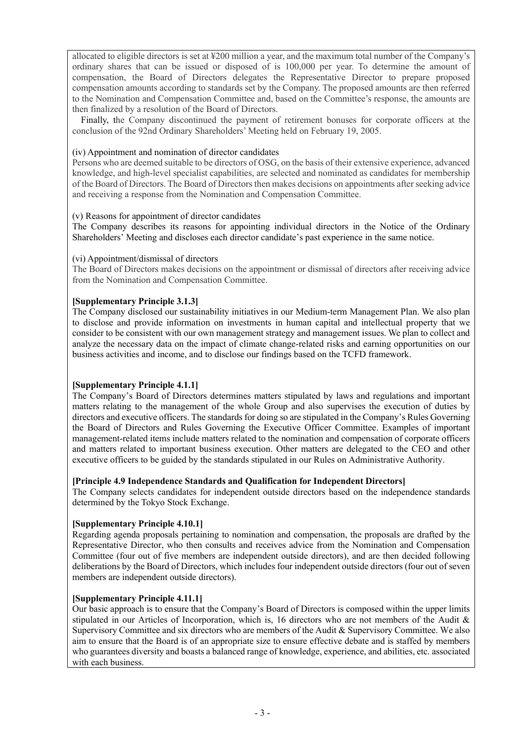allocated to eligible directors is set at ¥200 million a year, and the maximum total number of the Company's ordinary shares that can be issued or disposed of is 100,000 per year. To determine the amount of compensation, the Board of Directors delegates the Representative Director to prepare proposed compensation amounts according to standards set by the Company. The proposed amounts are then referred to the Nomination and Compensation Committee and, based on the Committee's response, the amounts are then finalized by a resolution of the Board of Directors.

Finally, the Company discontinued the payment of retirement bonuses for corporate officers at the conclusion of the 92nd Ordinary Shareholders' Meeting held on February 19, 2005.

#### (iv) Appointment and nomination of director candidates

Persons who are deemed suitable to be directors of OSG, on the basis of their extensive experience, advanced knowledge, and high-level specialist capabilities, are selected and nominated as candidates for membership of the Board of Directors. The Board of Directors then makes decisions on appointments after seeking advice and receiving a response from the Nomination and Compensation Committee.

### (v) Reasons for appointment of director candidates

The Company describes its reasons for appointing individual directors in the Notice of the Ordinary Shareholders' Meeting and discloses each director candidate's past experience in the same notice.

### (vi) Appointment/dismissal of directors

The Board of Directors makes decisions on the appointment or dismissal of directors after receiving advice from the Nomination and Compensation Committee.

### **[Supplementary Principle 3.1.3]**

The Company disclosed our sustainability initiatives in our Medium-term Management Plan. We also plan to disclose and provide information on investments in human capital and intellectual property that we consider to be consistent with our own management strategy and management issues. We plan to collect and analyze the necessary data on the impact of climate change-related risks and earning opportunities on our business activities and income, and to disclose our findings based on the TCFD framework.

#### **[Supplementary Principle 4.1.1]**

The Company's Board of Directors determines matters stipulated by laws and regulations and important matters relating to the management of the whole Group and also supervises the execution of duties by directors and executive officers. The standards for doing so are stipulated in the Company's Rules Governing the Board of Directors and Rules Governing the Executive Officer Committee. Examples of important management-related items include matters related to the nomination and compensation of corporate officers and matters related to important business execution. Other matters are delegated to the CEO and other executive officers to be guided by the standards stipulated in our Rules on Administrative Authority.

#### **[Principle 4.9 Independence Standards and Qualification for Independent Directors]**

The Company selects candidates for independent outside directors based on the independence standards determined by the Tokyo Stock Exchange.

#### **[Supplementary Principle 4.10.1]**

Regarding agenda proposals pertaining to nomination and compensation, the proposals are drafted by the Representative Director, who then consults and receives advice from the Nomination and Compensation Committee (four out of five members are independent outside directors), and are then decided following deliberations by the Board of Directors, which includes four independent outside directors (four out of seven members are independent outside directors).

#### **[Supplementary Principle 4.11.1]**

Our basic approach is to ensure that the Company's Board of Directors is composed within the upper limits stipulated in our Articles of Incorporation, which is, 16 directors who are not members of the Audit & Supervisory Committee and six directors who are members of the Audit & Supervisory Committee. We also aim to ensure that the Board is of an appropriate size to ensure effective debate and is staffed by members who guarantees diversity and boasts a balanced range of knowledge, experience, and abilities, etc. associated with each business.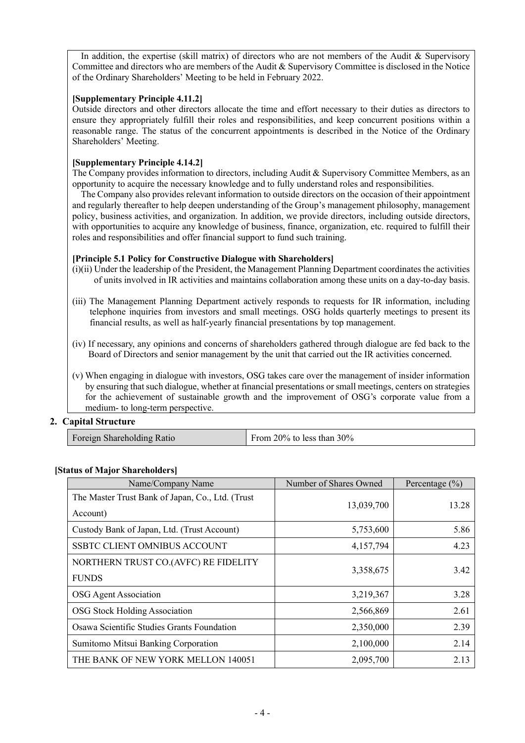In addition, the expertise (skill matrix) of directors who are not members of the Audit & Supervisory Committee and directors who are members of the Audit & Supervisory Committee is disclosed in the Notice of the Ordinary Shareholders' Meeting to be held in February 2022.

#### **[Supplementary Principle 4.11.2]**

Outside directors and other directors allocate the time and effort necessary to their duties as directors to ensure they appropriately fulfill their roles and responsibilities, and keep concurrent positions within a reasonable range. The status of the concurrent appointments is described in the Notice of the Ordinary Shareholders' Meeting.

# **[Supplementary Principle 4.14.2]**

The Company provides information to directors, including Audit & Supervisory Committee Members, as an opportunity to acquire the necessary knowledge and to fully understand roles and responsibilities.

The Company also provides relevant information to outside directors on the occasion of their appointment and regularly thereafter to help deepen understanding of the Group's management philosophy, management policy, business activities, and organization. In addition, we provide directors, including outside directors, with opportunities to acquire any knowledge of business, finance, organization, etc. required to fulfill their roles and responsibilities and offer financial support to fund such training.

# **[Principle 5.1 Policy for Constructive Dialogue with Shareholders]**

- (i)(ii) Under the leadership of the President, the Management Planning Department coordinates the activities of units involved in IR activities and maintains collaboration among these units on a day-to-day basis.
- (iii) The Management Planning Department actively responds to requests for IR information, including telephone inquiries from investors and small meetings. OSG holds quarterly meetings to present its financial results, as well as half-yearly financial presentations by top management.
- (iv) If necessary, any opinions and concerns of shareholders gathered through dialogue are fed back to the Board of Directors and senior management by the unit that carried out the IR activities concerned.
- (v) When engaging in dialogue with investors, OSG takes care over the management of insider information by ensuring that such dialogue, whether at financial presentations or small meetings, centers on strategies for the achievement of sustainable growth and the improvement of OSG's corporate value from a medium- to long-term perspective.

# **2. Capital Structure**

| From 20% to less than $30\%$ |
|------------------------------|
|                              |

# **[Status of Major Shareholders]**

| Name/Company Name                                             | Number of Shares Owned | Percentage $(\% )$ |
|---------------------------------------------------------------|------------------------|--------------------|
| The Master Trust Bank of Japan, Co., Ltd. (Trust)<br>Account) | 13,039,700             | 13.28              |
| Custody Bank of Japan, Ltd. (Trust Account)                   | 5,753,600              | 5.86               |
| <b>SSBTC CLIENT OMNIBUS ACCOUNT</b>                           | 4,157,794              | 4.23               |
| NORTHERN TRUST CO.(AVFC) RE FIDELITY<br><b>FUNDS</b>          | 3,358,675              | 3.42               |
| OSG Agent Association                                         | 3,219,367              | 3.28               |
| <b>OSG Stock Holding Association</b>                          | 2,566,869              | 2.61               |
| Osawa Scientific Studies Grants Foundation                    | 2,350,000              | 2.39               |
| Sumitomo Mitsui Banking Corporation                           | 2,100,000              | 2.14               |
| THE BANK OF NEW YORK MELLON 140051                            | 2,095,700              | 2.13               |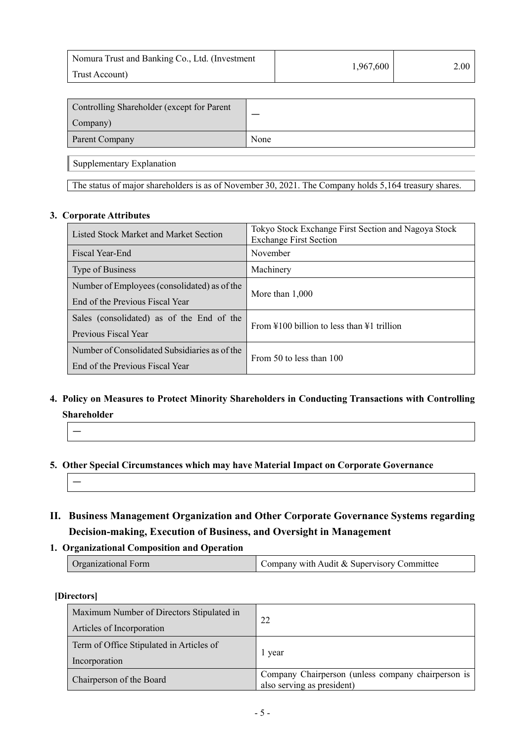| Nomura Trust and Banking Co., Ltd. (Investment | 1,967,600 | 2.00 |
|------------------------------------------------|-----------|------|
| Trust Account)                                 |           |      |

| Controlling Shareholder (except for Parent |      |
|--------------------------------------------|------|
| Company)                                   |      |
| Parent Company                             | None |

Supplementary Explanation

The status of major shareholders is as of November 30, 2021. The Company holds 5,164 treasury shares.

### **3. Corporate Attributes**

| Listed Stock Market and Market Section        | Tokyo Stock Exchange First Section and Nagoya Stock<br><b>Exchange First Section</b> |  |
|-----------------------------------------------|--------------------------------------------------------------------------------------|--|
| Fiscal Year-End                               | November                                                                             |  |
| Type of Business                              | Machinery                                                                            |  |
| Number of Employees (consolidated) as of the  | More than $1,000$                                                                    |  |
| End of the Previous Fiscal Year               |                                                                                      |  |
| Sales (consolidated) as of the End of the     | From $\text{\#}100$ billion to less than $\text{\#}1$ trillion                       |  |
| Previous Fiscal Year                          |                                                                                      |  |
| Number of Consolidated Subsidiaries as of the | From 50 to less than 100                                                             |  |
| End of the Previous Fiscal Year               |                                                                                      |  |

# **4. Policy on Measures to Protect Minority Shareholders in Conducting Transactions with Controlling Shareholder**

—

# **5. Other Special Circumstances which may have Material Impact on Corporate Governance**

—

- **II. Business Management Organization and Other Corporate Governance Systems regarding Decision-making, Execution of Business, and Oversight in Management**
- **1. Organizational Composition and Operation**

| Company with Audit & Supervisory Committee<br><b>Organizational Form</b> |
|--------------------------------------------------------------------------|
|--------------------------------------------------------------------------|

# **[Directors]**

| Maximum Number of Directors Stipulated in<br>Articles of Incorporation | 22                                                                               |
|------------------------------------------------------------------------|----------------------------------------------------------------------------------|
| Term of Office Stipulated in Articles of<br>Incorporation              | 1 year                                                                           |
| Chairperson of the Board                                               | Company Chairperson (unless company chairperson is<br>also serving as president) |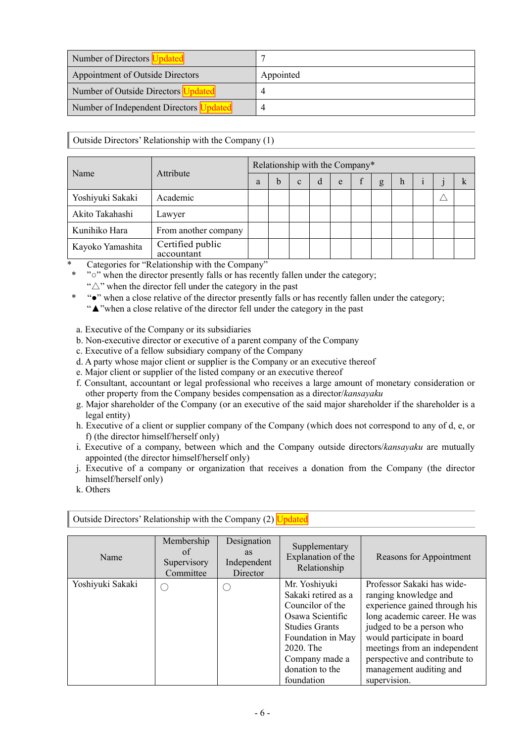| Number of Directors               |           |
|-----------------------------------|-----------|
| Appointment of Outside Directors  | Appointed |
| Number of Outside Directors       |           |
| Number of Independent Directors U |           |

Outside Directors' Relationship with the Company (1)

|                                                                                                               | Attribute                      |   |             |              |   |   | Relationship with the Company* |   |   |  |  |
|---------------------------------------------------------------------------------------------------------------|--------------------------------|---|-------------|--------------|---|---|--------------------------------|---|---|--|--|
| Name                                                                                                          |                                | a | $\mathbf b$ | $\mathbf{c}$ | d | e |                                | g | h |  |  |
| Yoshiyuki Sakaki                                                                                              | Academic                       |   |             |              |   |   |                                |   |   |  |  |
| Akito Takahashi                                                                                               | Lawyer                         |   |             |              |   |   |                                |   |   |  |  |
| Kunihiko Hara                                                                                                 | From another company           |   |             |              |   |   |                                |   |   |  |  |
| Kayoko Yamashita<br>$\mathbf{u} = \mathbf{u}$ , and $\mathbf{u} = \mathbf{u}$ , and $\mathbf{u} = \mathbf{u}$ | Certified public<br>accountant |   |             |              |   |   |                                |   |   |  |  |

Categories for "Relationship with the Company"

- "<sup>o</sup>" when the director presently falls or has recently fallen under the category;
- " $\triangle$ " when the director fell under the category in the past
- \* "●" when a close relative of the director presently falls or has recently fallen under the category; "▲"when a close relative of the director fell under the category in the past
- a. Executive of the Company or its subsidiaries
- b. Non-executive director or executive of a parent company of the Company
- c. Executive of a fellow subsidiary company of the Company
- d. A party whose major client or supplier is the Company or an executive thereof
- e. Major client or supplier of the listed company or an executive thereof
- f. Consultant, accountant or legal professional who receives a large amount of monetary consideration or other property from the Company besides compensation as a director/*kansayaku*
- g. Major shareholder of the Company (or an executive of the said major shareholder if the shareholder is a legal entity)
- h. Executive of a client or supplier company of the Company (which does not correspond to any of d, e, or f) (the director himself/herself only)
- i. Executive of a company, between which and the Company outside directors/*kansayaku* are mutually appointed (the director himself/herself only)
- j. Executive of a company or organization that receives a donation from the Company (the director himself/herself only)
- k. Others

| Name             | Membership<br>of<br>Supervisory<br>Committee | Designation<br><b>as</b><br>Independent<br>Director | Supplementary<br>Explanation of the<br>Relationship | Reasons for Appointment       |
|------------------|----------------------------------------------|-----------------------------------------------------|-----------------------------------------------------|-------------------------------|
| Yoshiyuki Sakaki |                                              | ( )                                                 | Mr. Yoshiyuki                                       | Professor Sakaki has wide-    |
|                  |                                              |                                                     | Sakaki retired as a                                 | ranging knowledge and         |
|                  |                                              |                                                     | Councilor of the                                    | experience gained through his |
|                  |                                              |                                                     | Osawa Scientific                                    | long academic career. He was  |
|                  |                                              |                                                     | <b>Studies Grants</b>                               | judged to be a person who     |
|                  |                                              |                                                     | Foundation in May                                   | would participate in board    |
|                  |                                              |                                                     | 2020. The                                           | meetings from an independent  |
|                  |                                              |                                                     | Company made a                                      | perspective and contribute to |
|                  |                                              |                                                     | donation to the                                     | management auditing and       |
|                  |                                              |                                                     | foundation                                          | supervision.                  |

Outside Directors' Relationship with the Company (2) Updated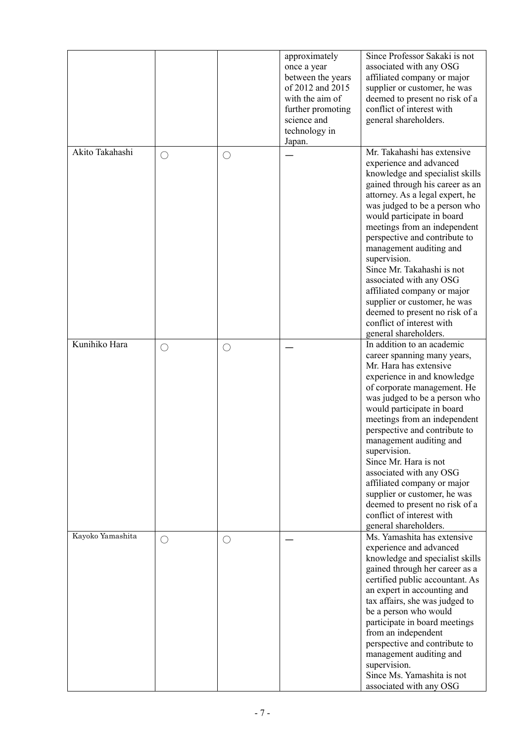|                  |            |            | approximately<br>once a year<br>between the years<br>of 2012 and 2015<br>with the aim of<br>further promoting<br>science and<br>technology in<br>Japan. | Since Professor Sakaki is not<br>associated with any OSG<br>affiliated company or major<br>supplier or customer, he was<br>deemed to present no risk of a<br>conflict of interest with<br>general shareholders.                                                                                                                                                                                                                                                                                                                                            |
|------------------|------------|------------|---------------------------------------------------------------------------------------------------------------------------------------------------------|------------------------------------------------------------------------------------------------------------------------------------------------------------------------------------------------------------------------------------------------------------------------------------------------------------------------------------------------------------------------------------------------------------------------------------------------------------------------------------------------------------------------------------------------------------|
| Akito Takahashi  | $\bigcirc$ | $\bigcirc$ |                                                                                                                                                         | Mr. Takahashi has extensive<br>experience and advanced<br>knowledge and specialist skills<br>gained through his career as an<br>attorney. As a legal expert, he<br>was judged to be a person who<br>would participate in board<br>meetings from an independent<br>perspective and contribute to<br>management auditing and<br>supervision.<br>Since Mr. Takahashi is not<br>associated with any OSG<br>affiliated company or major<br>supplier or customer, he was<br>deemed to present no risk of a<br>conflict of interest with<br>general shareholders. |
| Kunihiko Hara    | O          | $\bigcirc$ |                                                                                                                                                         | In addition to an academic<br>career spanning many years,<br>Mr. Hara has extensive<br>experience in and knowledge<br>of corporate management. He<br>was judged to be a person who<br>would participate in board<br>meetings from an independent<br>perspective and contribute to<br>management auditing and<br>supervision.<br>Since Mr. Hara is not<br>associated with any OSG<br>affiliated company or major<br>supplier or customer, he was<br>deemed to present no risk of a<br>conflict of interest with<br>general shareholders.                    |
| Kayoko Yamashita | ( )        | $\bigcirc$ |                                                                                                                                                         | Ms. Yamashita has extensive<br>experience and advanced<br>knowledge and specialist skills<br>gained through her career as a<br>certified public accountant. As<br>an expert in accounting and<br>tax affairs, she was judged to<br>be a person who would<br>participate in board meetings<br>from an independent<br>perspective and contribute to<br>management auditing and<br>supervision.<br>Since Ms. Yamashita is not<br>associated with any OSG                                                                                                      |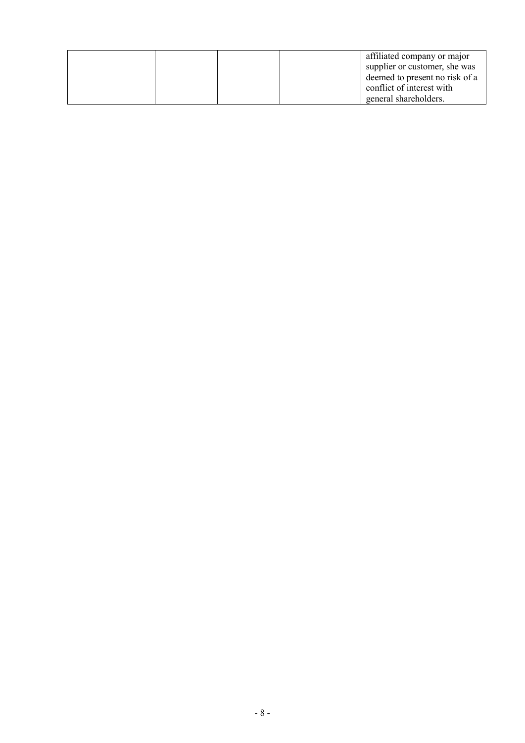|  | affiliated company or major    |
|--|--------------------------------|
|  | supplier or customer, she was  |
|  | deemed to present no risk of a |
|  | conflict of interest with      |
|  | general shareholders.          |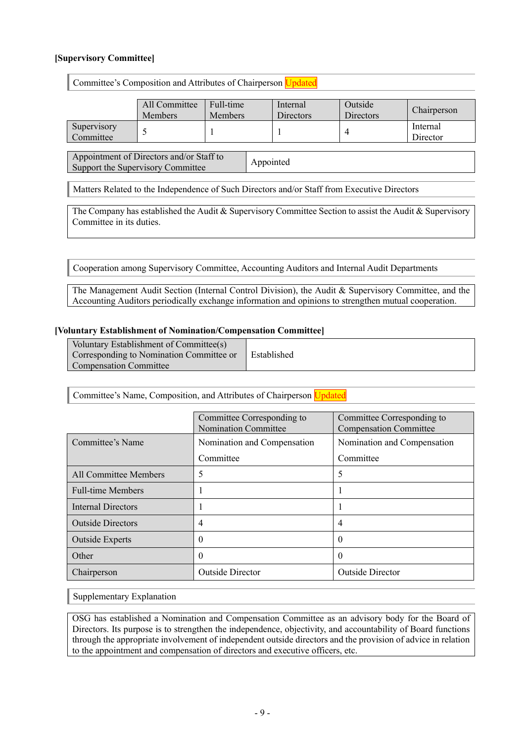### **[Supervisory Committee]**

|                                                                                                         | Committee's Composition and Attributes of Chairperson Updated |                             |  |                       |                             |                      |
|---------------------------------------------------------------------------------------------------------|---------------------------------------------------------------|-----------------------------|--|-----------------------|-----------------------------|----------------------|
|                                                                                                         | All Committee<br><b>Members</b>                               | Full-time<br><b>Members</b> |  | Internal<br>Directors | Outside<br><b>Directors</b> | Chairperson          |
| Supervisory<br>Committee                                                                                |                                                               |                             |  |                       | 4                           | Internal<br>Director |
| Appointment of Directors and/or Staff to<br>Appointed<br>Support the Supervisory Committee              |                                                               |                             |  |                       |                             |                      |
| Matters Related to the Independence of Such Directors and/or Staff from Executive Directors             |                                                               |                             |  |                       |                             |                      |
| The Company has established the Audit & Supervisory Committee Section to assist the Audit & Supervisory |                                                               |                             |  |                       |                             |                      |

The Company has established the Audit & Supervisory Committee Section to assist the Audit & Supervisory Committee in its duties.

Cooperation among Supervisory Committee, Accounting Auditors and Internal Audit Departments

The Management Audit Section (Internal Control Division), the Audit & Supervisory Committee, and the Accounting Auditors periodically exchange information and opinions to strengthen mutual cooperation.

#### **[Voluntary Establishment of Nomination/Compensation Committee]**

| Voluntary Establishment of Committee(s)  |             |
|------------------------------------------|-------------|
| Corresponding to Nomination Committee or | Established |
| <b>Compensation Committee</b>            |             |

#### Committee's Name, Composition, and Attributes of Chairperson Updated

|                              | Committee Corresponding to<br><b>Nomination Committee</b> | Committee Corresponding to<br><b>Compensation Committee</b> |
|------------------------------|-----------------------------------------------------------|-------------------------------------------------------------|
| Committee's Name             | Nomination and Compensation                               | Nomination and Compensation                                 |
|                              | Committee                                                 | Committee                                                   |
| <b>All Committee Members</b> | 5                                                         | 5                                                           |
| <b>Full-time Members</b>     |                                                           |                                                             |
| Internal Directors           |                                                           |                                                             |
| <b>Outside Directors</b>     | 4                                                         | 4                                                           |
| <b>Outside Experts</b>       | 0                                                         | O                                                           |
| Other                        | $\theta$                                                  | $\Omega$                                                    |
| Chairperson                  | <b>Outside Director</b>                                   | <b>Outside Director</b>                                     |

Supplementary Explanation

OSG has established a Nomination and Compensation Committee as an advisory body for the Board of Directors. Its purpose is to strengthen the independence, objectivity, and accountability of Board functions through the appropriate involvement of independent outside directors and the provision of advice in relation to the appointment and compensation of directors and executive officers, etc.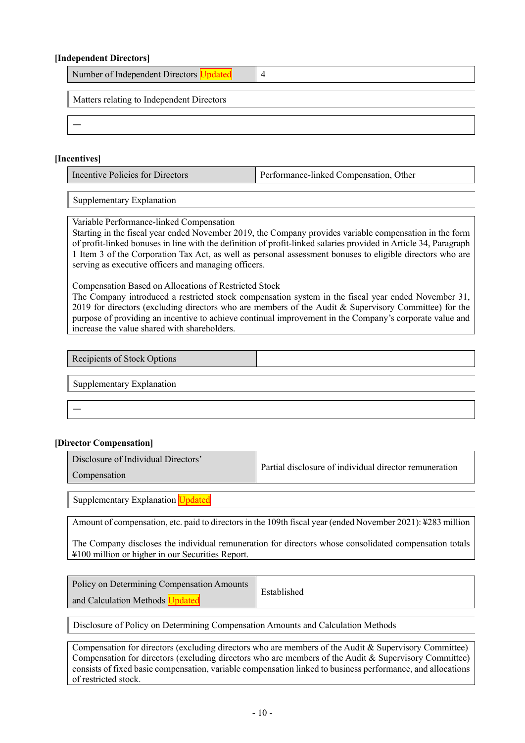#### **[Independent Directors]**

| Number of Independent Directors Updated   |  |
|-------------------------------------------|--|
| Matters relating to Independent Directors |  |
|                                           |  |

#### **[Incentives]**

| Incentive Policies for Directors | Performance-linked Compensation, Other |
|----------------------------------|----------------------------------------|
|                                  |                                        |

Supplementary Explanation

Variable Performance-linked Compensation

Starting in the fiscal year ended November 2019, the Company provides variable compensation in the form of profit-linked bonuses in line with the definition of profit-linked salaries provided in Article 34, Paragraph 1 Item 3 of the Corporation Tax Act, as well as personal assessment bonuses to eligible directors who are serving as executive officers and managing officers.

Compensation Based on Allocations of Restricted Stock

The Company introduced a restricted stock compensation system in the fiscal year ended November 31, 2019 for directors (excluding directors who are members of the Audit & Supervisory Committee) for the purpose of providing an incentive to achieve continual improvement in the Company's corporate value and increase the value shared with shareholders.

Recipients of Stock Options

Supplementary Explanation

—

#### **[Director Compensation]**

| Disclosure of Individual Directors' | Partial disclosure of individual director remuneration |
|-------------------------------------|--------------------------------------------------------|
| Compensation                        |                                                        |

Supplementary Explanation Updated

Amount of compensation, etc. paid to directors in the 109th fiscal year (ended November 2021): ¥283 million

The Company discloses the individual remuneration for directors whose consolidated compensation totals ¥100 million or higher in our Securities Report.

Policy on Determining Compensation Amounts and Calculation Methods Updated

Established

Disclosure of Policy on Determining Compensation Amounts and Calculation Methods

Compensation for directors (excluding directors who are members of the Audit & Supervisory Committee) Compensation for directors (excluding directors who are members of the Audit & Supervisory Committee) consists of fixed basic compensation, variable compensation linked to business performance, and allocations of restricted stock.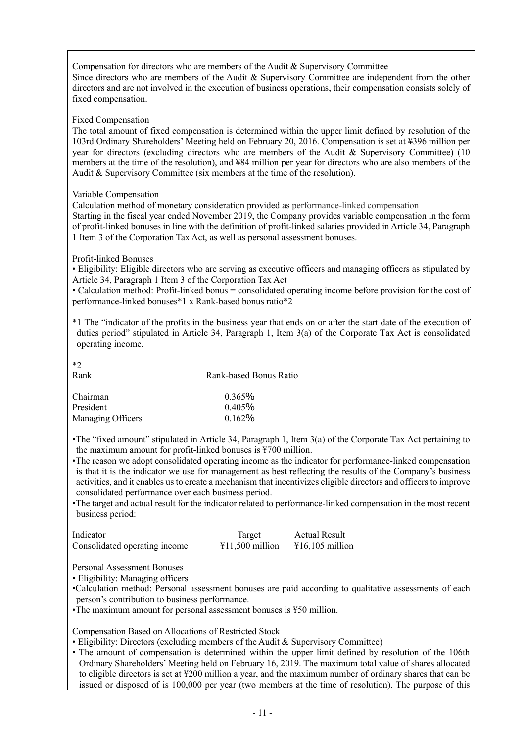Compensation for directors who are members of the Audit & Supervisory Committee Since directors who are members of the Audit & Supervisory Committee are independent from the other directors and are not involved in the execution of business operations, their compensation consists solely of fixed compensation.

#### Fixed Compensation

The total amount of fixed compensation is determined within the upper limit defined by resolution of the 103rd Ordinary Shareholders' Meeting held on February 20, 2016. Compensation is set at ¥396 million per year for directors (excluding directors who are members of the Audit & Supervisory Committee) (10 members at the time of the resolution), and ¥84 million per year for directors who are also members of the Audit & Supervisory Committee (six members at the time of the resolution).

#### Variable Compensation

Calculation method of monetary consideration provided as performance-linked compensation

Starting in the fiscal year ended November 2019, the Company provides variable compensation in the form of profit-linked bonuses in line with the definition of profit-linked salaries provided in Article 34, Paragraph 1 Item 3 of the Corporation Tax Act, as well as personal assessment bonuses.

#### Profit-linked Bonuses

• Eligibility: Eligible directors who are serving as executive officers and managing officers as stipulated by Article 34, Paragraph 1 Item 3 of the Corporation Tax Act

• Calculation method: Profit-linked bonus = consolidated operating income before provision for the cost of performance-linked bonuses\*1 x Rank-based bonus ratio\*2

\*1 The "indicator of the profits in the business year that ends on or after the start date of the execution of duties period" stipulated in Article 34, Paragraph 1, Item 3(a) of the Corporate Tax Act is consolidated operating income.

 $*2$ 

| <b>Rank</b>       | Rank-based Bonus Ratio |
|-------------------|------------------------|
| Chairman          | $0.365\%$              |
| President         | $0.405\%$              |
| Managing Officers | 0.162%                 |

•The "fixed amount" stipulated in Article 34, Paragraph 1, Item 3(a) of the Corporate Tax Act pertaining to the maximum amount for profit-linked bonuses is ¥700 million.

- •The reason we adopt consolidated operating income as the indicator for performance-linked compensation is that it is the indicator we use for management as best reflecting the results of the Company's business activities, and it enables us to create a mechanism that incentivizes eligible directors and officers to improve consolidated performance over each business period.
- •The target and actual result for the indicator related to performance-linked compensation in the most recent business period:

| Indicator                     | Target                    | <b>Actual Result</b>      |
|-------------------------------|---------------------------|---------------------------|
| Consolidated operating income | $\text{\#}11,500$ million | $\text{\#}16,105$ million |

Personal Assessment Bonuses

• Eligibility: Managing officers

- •Calculation method: Personal assessment bonuses are paid according to qualitative assessments of each person's contribution to business performance.
- •The maximum amount for personal assessment bonuses is ¥50 million.

Compensation Based on Allocations of Restricted Stock

- Eligibility: Directors (excluding members of the Audit & Supervisory Committee)
- The amount of compensation is determined within the upper limit defined by resolution of the 106th Ordinary Shareholders' Meeting held on February 16, 2019. The maximum total value of shares allocated to eligible directors is set at ¥200 million a year, and the maximum number of ordinary shares that can be issued or disposed of is 100,000 per year (two members at the time of resolution). The purpose of this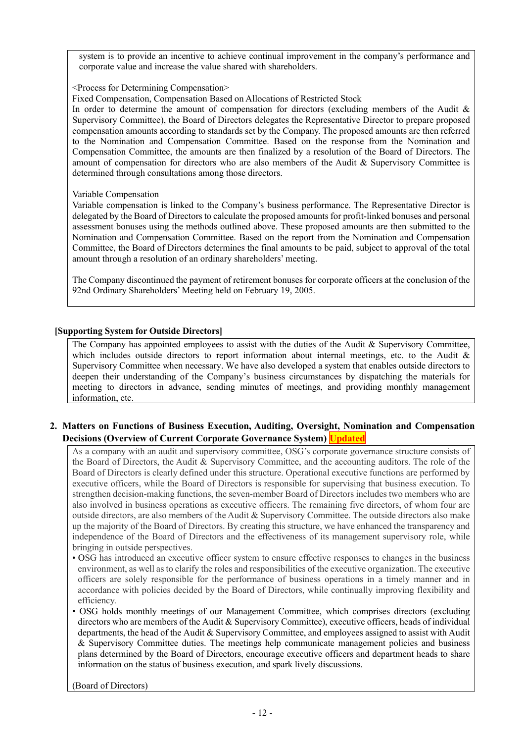system is to provide an incentive to achieve continual improvement in the company's performance and corporate value and increase the value shared with shareholders.

<Process for Determining Compensation>

Fixed Compensation, Compensation Based on Allocations of Restricted Stock

In order to determine the amount of compensation for directors (excluding members of the Audit  $\&$ Supervisory Committee), the Board of Directors delegates the Representative Director to prepare proposed compensation amounts according to standards set by the Company. The proposed amounts are then referred to the Nomination and Compensation Committee. Based on the response from the Nomination and Compensation Committee, the amounts are then finalized by a resolution of the Board of Directors. The amount of compensation for directors who are also members of the Audit & Supervisory Committee is determined through consultations among those directors.

#### Variable Compensation

Variable compensation is linked to the Company's business performance. The Representative Director is delegated by the Board of Directors to calculate the proposed amounts for profit-linked bonuses and personal assessment bonuses using the methods outlined above. These proposed amounts are then submitted to the Nomination and Compensation Committee. Based on the report from the Nomination and Compensation Committee, the Board of Directors determines the final amounts to be paid, subject to approval of the total amount through a resolution of an ordinary shareholders' meeting.

The Company discontinued the payment of retirement bonuses for corporate officers at the conclusion of the 92nd Ordinary Shareholders' Meeting held on February 19, 2005.

#### **[Supporting System for Outside Directors]**

The Company has appointed employees to assist with the duties of the Audit & Supervisory Committee, which includes outside directors to report information about internal meetings, etc. to the Audit & Supervisory Committee when necessary. We have also developed a system that enables outside directors to deepen their understanding of the Company's business circumstances by dispatching the materials for meeting to directors in advance, sending minutes of meetings, and providing monthly management information, etc.

# **2. Matters on Functions of Business Execution, Auditing, Oversight, Nomination and Compensation Decisions (Overview of Current Corporate Governance System) Updated**

As a company with an audit and supervisory committee, OSG's corporate governance structure consists of the Board of Directors, the Audit & Supervisory Committee, and the accounting auditors. The role of the Board of Directors is clearly defined under this structure. Operational executive functions are performed by executive officers, while the Board of Directors is responsible for supervising that business execution. To strengthen decision-making functions, the seven-member Board of Directors includes two members who are also involved in business operations as executive officers. The remaining five directors, of whom four are outside directors, are also members of the Audit & Supervisory Committee. The outside directors also make up the majority of the Board of Directors. By creating this structure, we have enhanced the transparency and independence of the Board of Directors and the effectiveness of its management supervisory role, while bringing in outside perspectives.

- OSG has introduced an executive officer system to ensure effective responses to changes in the business environment, as well as to clarify the roles and responsibilities of the executive organization. The executive officers are solely responsible for the performance of business operations in a timely manner and in accordance with policies decided by the Board of Directors, while continually improving flexibility and efficiency.
- OSG holds monthly meetings of our Management Committee, which comprises directors (excluding directors who are members of the Audit & Supervisory Committee), executive officers, heads of individual departments, the head of the Audit & Supervisory Committee, and employees assigned to assist with Audit & Supervisory Committee duties. The meetings help communicate management policies and business plans determined by the Board of Directors, encourage executive officers and department heads to share information on the status of business execution, and spark lively discussions.

(Board of Directors)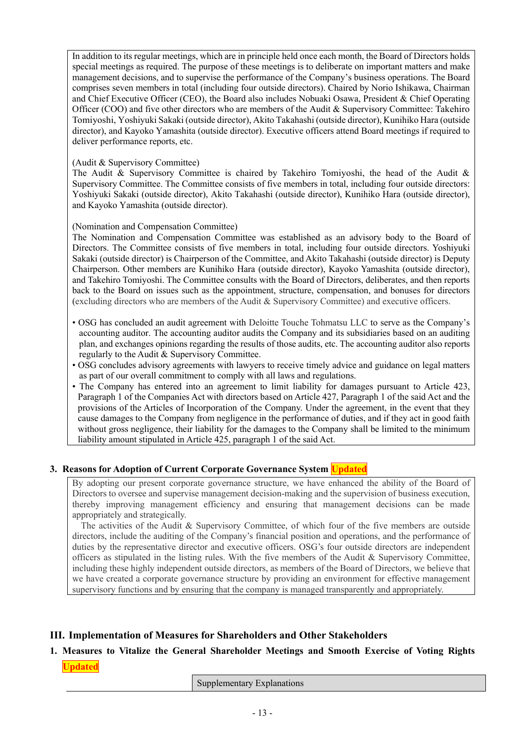In addition to its regular meetings, which are in principle held once each month, the Board of Directors holds special meetings as required. The purpose of these meetings is to deliberate on important matters and make management decisions, and to supervise the performance of the Company's business operations. The Board comprises seven members in total (including four outside directors). Chaired by Norio Ishikawa, Chairman and Chief Executive Officer (CEO), the Board also includes Nobuaki Osawa, President & Chief Operating Officer (COO) and five other directors who are members of the Audit & Supervisory Committee: Takehiro Tomiyoshi, Yoshiyuki Sakaki (outside director), Akito Takahashi (outside director), Kunihiko Hara (outside director), and Kayoko Yamashita (outside director). Executive officers attend Board meetings if required to deliver performance reports, etc.

### (Audit & Supervisory Committee)

The Audit & Supervisory Committee is chaired by Takehiro Tomiyoshi, the head of the Audit & Supervisory Committee. The Committee consists of five members in total, including four outside directors: Yoshiyuki Sakaki (outside director), Akito Takahashi (outside director), Kunihiko Hara (outside director), and Kayoko Yamashita (outside director).

#### (Nomination and Compensation Committee)

The Nomination and Compensation Committee was established as an advisory body to the Board of Directors. The Committee consists of five members in total, including four outside directors. Yoshiyuki Sakaki (outside director) is Chairperson of the Committee, and Akito Takahashi (outside director) is Deputy Chairperson. Other members are Kunihiko Hara (outside director), Kayoko Yamashita (outside director), and Takehiro Tomiyoshi. The Committee consults with the Board of Directors, deliberates, and then reports back to the Board on issues such as the appointment, structure, compensation, and bonuses for directors (excluding directors who are members of the Audit & Supervisory Committee) and executive officers.

- OSG has concluded an audit agreement with Deloitte Touche Tohmatsu LLC to serve as the Company's accounting auditor. The accounting auditor audits the Company and its subsidiaries based on an auditing plan, and exchanges opinions regarding the results of those audits, etc. The accounting auditor also reports regularly to the Audit & Supervisory Committee.
- OSG concludes advisory agreements with lawyers to receive timely advice and guidance on legal matters as part of our overall commitment to comply with all laws and regulations.
- The Company has entered into an agreement to limit liability for damages pursuant to Article 423, Paragraph 1 of the Companies Act with directors based on Article 427, Paragraph 1 of the said Act and the provisions of the Articles of Incorporation of the Company. Under the agreement, in the event that they cause damages to the Company from negligence in the performance of duties, and if they act in good faith without gross negligence, their liability for the damages to the Company shall be limited to the minimum liability amount stipulated in Article 425, paragraph 1 of the said Act.

# **3. Reasons for Adoption of Current Corporate Governance System Updated**

By adopting our present corporate governance structure, we have enhanced the ability of the Board of Directors to oversee and supervise management decision-making and the supervision of business execution, thereby improving management efficiency and ensuring that management decisions can be made appropriately and strategically.

The activities of the Audit & Supervisory Committee, of which four of the five members are outside directors, include the auditing of the Company's financial position and operations, and the performance of duties by the representative director and executive officers. OSG's four outside directors are independent officers as stipulated in the listing rules. With the five members of the Audit & Supervisory Committee, including these highly independent outside directors, as members of the Board of Directors, we believe that we have created a corporate governance structure by providing an environment for effective management supervisory functions and by ensuring that the company is managed transparently and appropriately.

# **III. Implementation of Measures for Shareholders and Other Stakeholders**

# **1. Measures to Vitalize the General Shareholder Meetings and Smooth Exercise of Voting Rights Updated**

Supplementary Explanations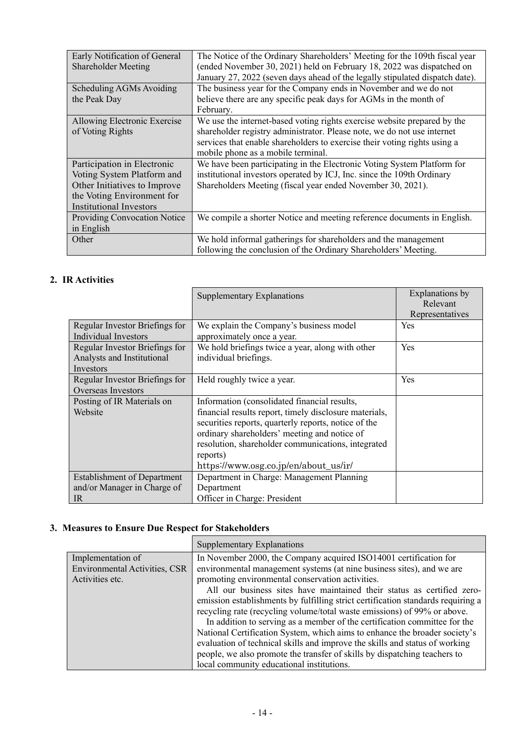| Early Notification of General<br>Shareholder Meeting                                                                                                      | The Notice of the Ordinary Shareholders' Meeting for the 109th fiscal year<br>(ended November 30, 2021) held on February 18, 2022 was dispatched on<br>January 27, 2022 (seven days ahead of the legally stipulated dispatch date).                                    |
|-----------------------------------------------------------------------------------------------------------------------------------------------------------|------------------------------------------------------------------------------------------------------------------------------------------------------------------------------------------------------------------------------------------------------------------------|
| Scheduling AGMs Avoiding<br>the Peak Day                                                                                                                  | The business year for the Company ends in November and we do not<br>believe there are any specific peak days for AGMs in the month of<br>February.                                                                                                                     |
| Allowing Electronic Exercise<br>of Voting Rights                                                                                                          | We use the internet-based voting rights exercise website prepared by the<br>shareholder registry administrator. Please note, we do not use internet<br>services that enable shareholders to exercise their voting rights using a<br>mobile phone as a mobile terminal. |
| Participation in Electronic<br>Voting System Platform and<br>Other Initiatives to Improve<br>the Voting Environment for<br><b>Institutional Investors</b> | We have been participating in the Electronic Voting System Platform for<br>institutional investors operated by ICJ, Inc. since the 109th Ordinary<br>Shareholders Meeting (fiscal year ended November 30, 2021).                                                       |
| <b>Providing Convocation Notice</b><br>in English                                                                                                         | We compile a shorter Notice and meeting reference documents in English.                                                                                                                                                                                                |
| Other                                                                                                                                                     | We hold informal gatherings for shareholders and the management<br>following the conclusion of the Ordinary Shareholders' Meeting.                                                                                                                                     |

# **2. IR Activities**

|                                    | <b>Supplementary Explanations</b>                      | Explanations by |
|------------------------------------|--------------------------------------------------------|-----------------|
|                                    |                                                        | Relevant        |
|                                    |                                                        | Representatives |
| Regular Investor Briefings for     | We explain the Company's business model                | Yes             |
| Individual Investors               | approximately once a year.                             |                 |
| Regular Investor Briefings for     | We hold briefings twice a year, along with other       | Yes             |
| Analysts and Institutional         | individual briefings.                                  |                 |
| Investors                          |                                                        |                 |
| Regular Investor Briefings for     | Held roughly twice a year.                             | Yes             |
| Overseas Investors                 |                                                        |                 |
| Posting of IR Materials on         | Information (consolidated financial results,           |                 |
| Website                            | financial results report, timely disclosure materials, |                 |
|                                    | securities reports, quarterly reports, notice of the   |                 |
|                                    | ordinary shareholders' meeting and notice of           |                 |
|                                    | resolution, shareholder communications, integrated     |                 |
|                                    | reports)                                               |                 |
|                                    | https://www.osg.co.jp/en/about_us/ir/                  |                 |
| <b>Establishment of Department</b> | Department in Charge: Management Planning              |                 |
| and/or Manager in Charge of        | Department                                             |                 |
| IR                                 | Officer in Charge: President                           |                 |

# **3. Measures to Ensure Due Respect for Stakeholders**

|                                                                              | <b>Supplementary Explanations</b>                                                                                                                                                                                                                                                                                                                                                                                                                                                                                                                                                                                                                                                                                                                               |
|------------------------------------------------------------------------------|-----------------------------------------------------------------------------------------------------------------------------------------------------------------------------------------------------------------------------------------------------------------------------------------------------------------------------------------------------------------------------------------------------------------------------------------------------------------------------------------------------------------------------------------------------------------------------------------------------------------------------------------------------------------------------------------------------------------------------------------------------------------|
| Implementation of<br><b>Environmental Activities, CSR</b><br>Activities etc. | In November 2000, the Company acquired ISO14001 certification for<br>environmental management systems (at nine business sites), and we are<br>promoting environmental conservation activities.<br>All our business sites have maintained their status as certified zero-<br>emission establishments by fulfilling strict certification standards requiring a<br>recycling rate (recycling volume/total waste emissions) of 99% or above.<br>In addition to serving as a member of the certification committee for the<br>National Certification System, which aims to enhance the broader society's<br>evaluation of technical skills and improve the skills and status of working<br>people, we also promote the transfer of skills by dispatching teachers to |
|                                                                              | local community educational institutions.                                                                                                                                                                                                                                                                                                                                                                                                                                                                                                                                                                                                                                                                                                                       |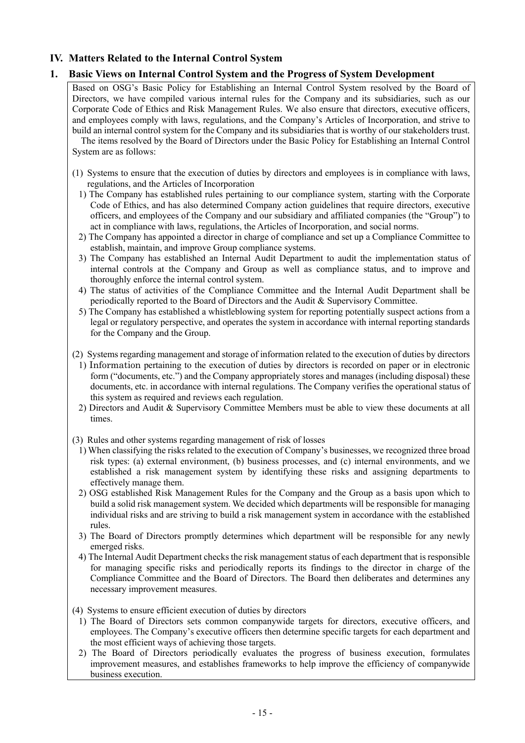# **IV. Matters Related to the Internal Control System**

# **1. Basic Views on Internal Control System and the Progress of System Development**

Based on OSG's Basic Policy for Establishing an Internal Control System resolved by the Board of Directors, we have compiled various internal rules for the Company and its subsidiaries, such as our Corporate Code of Ethics and Risk Management Rules. We also ensure that directors, executive officers, and employees comply with laws, regulations, and the Company's Articles of Incorporation, and strive to build an internal control system for the Company and its subsidiaries that is worthy of our stakeholders trust. The items resolved by the Board of Directors under the Basic Policy for Establishing an Internal Control System are as follows:

- (1) Systems to ensure that the execution of duties by directors and employees is in compliance with laws, regulations, and the Articles of Incorporation
	- 1) The Company has established rules pertaining to our compliance system, starting with the Corporate Code of Ethics, and has also determined Company action guidelines that require directors, executive officers, and employees of the Company and our subsidiary and affiliated companies (the "Group") to act in compliance with laws, regulations, the Articles of Incorporation, and social norms.
	- 2) The Company has appointed a director in charge of compliance and set up a Compliance Committee to establish, maintain, and improve Group compliance systems.
	- 3) The Company has established an Internal Audit Department to audit the implementation status of internal controls at the Company and Group as well as compliance status, and to improve and thoroughly enforce the internal control system.
	- 4) The status of activities of the Compliance Committee and the Internal Audit Department shall be periodically reported to the Board of Directors and the Audit & Supervisory Committee.
	- 5) The Company has established a whistleblowing system for reporting potentially suspect actions from a legal or regulatory perspective, and operates the system in accordance with internal reporting standards for the Company and the Group.
- (2) Systems regarding management and storage of information related to the execution of duties by directors
	- 1) Information pertaining to the execution of duties by directors is recorded on paper or in electronic form ("documents, etc.") and the Company appropriately stores and manages (including disposal) these documents, etc. in accordance with internal regulations. The Company verifies the operational status of this system as required and reviews each regulation.
	- 2) Directors and Audit & Supervisory Committee Members must be able to view these documents at all times.
- (3) Rules and other systems regarding management of risk of losses
	- 1) When classifying the risks related to the execution of Company's businesses, we recognized three broad risk types: (a) external environment, (b) business processes, and (c) internal environments, and we established a risk management system by identifying these risks and assigning departments to effectively manage them.
	- 2) OSG established Risk Management Rules for the Company and the Group as a basis upon which to build a solid risk management system. We decided which departments will be responsible for managing individual risks and are striving to build a risk management system in accordance with the established rules.
	- 3) The Board of Directors promptly determines which department will be responsible for any newly emerged risks.
	- 4) The Internal Audit Department checks the risk management status of each department that is responsible for managing specific risks and periodically reports its findings to the director in charge of the Compliance Committee and the Board of Directors. The Board then deliberates and determines any necessary improvement measures.

(4) Systems to ensure efficient execution of duties by directors

- 1) The Board of Directors sets common companywide targets for directors, executive officers, and employees. The Company's executive officers then determine specific targets for each department and the most efficient ways of achieving those targets.
- 2) The Board of Directors periodically evaluates the progress of business execution, formulates improvement measures, and establishes frameworks to help improve the efficiency of companywide business execution.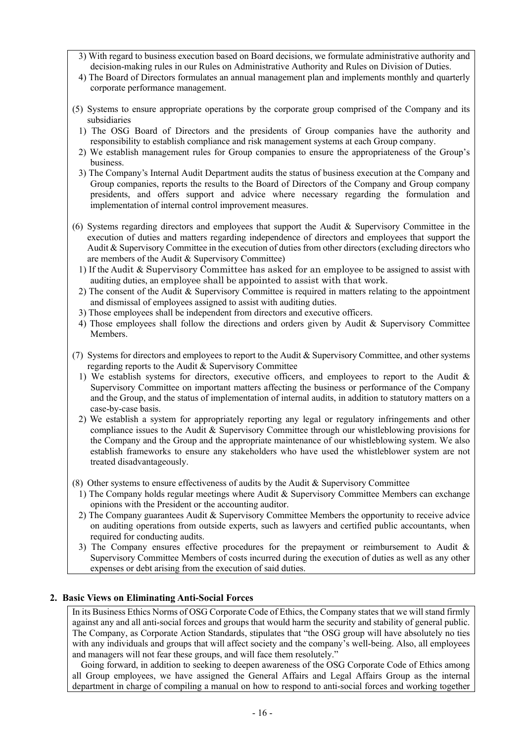- 3) With regard to business execution based on Board decisions, we formulate administrative authority and decision-making rules in our Rules on Administrative Authority and Rules on Division of Duties.
- 4) The Board of Directors formulates an annual management plan and implements monthly and quarterly corporate performance management.
- (5) Systems to ensure appropriate operations by the corporate group comprised of the Company and its subsidiaries
	- 1) The OSG Board of Directors and the presidents of Group companies have the authority and responsibility to establish compliance and risk management systems at each Group company.
	- 2) We establish management rules for Group companies to ensure the appropriateness of the Group's business.
	- 3) The Company's Internal Audit Department audits the status of business execution at the Company and Group companies, reports the results to the Board of Directors of the Company and Group company presidents, and offers support and advice where necessary regarding the formulation and implementation of internal control improvement measures.
- (6) Systems regarding directors and employees that support the Audit & Supervisory Committee in the execution of duties and matters regarding independence of directors and employees that support the Audit & Supervisory Committee in the execution of duties from other directors (excluding directors who are members of the Audit & Supervisory Committee)
	- 1) If the Audit & Supervisory Committee has asked for an employee to be assigned to assist with auditing duties, an employee shall be appointed to assist with that work.
	- 2) The consent of the Audit & Supervisory Committee is required in matters relating to the appointment and dismissal of employees assigned to assist with auditing duties.
	- 3) Those employees shall be independent from directors and executive officers.
	- 4) Those employees shall follow the directions and orders given by Audit & Supervisory Committee Members.
- (7) Systems for directors and employees to report to the Audit & Supervisory Committee, and other systems regarding reports to the Audit & Supervisory Committee
	- 1) We establish systems for directors, executive officers, and employees to report to the Audit & Supervisory Committee on important matters affecting the business or performance of the Company and the Group, and the status of implementation of internal audits, in addition to statutory matters on a case-by-case basis.
	- 2) We establish a system for appropriately reporting any legal or regulatory infringements and other compliance issues to the Audit & Supervisory Committee through our whistleblowing provisions for the Company and the Group and the appropriate maintenance of our whistleblowing system. We also establish frameworks to ensure any stakeholders who have used the whistleblower system are not treated disadvantageously.
- (8) Other systems to ensure effectiveness of audits by the Audit & Supervisory Committee
	- 1) The Company holds regular meetings where Audit & Supervisory Committee Members can exchange opinions with the President or the accounting auditor.
	- 2) The Company guarantees Audit & Supervisory Committee Members the opportunity to receive advice on auditing operations from outside experts, such as lawyers and certified public accountants, when required for conducting audits.
	- 3) The Company ensures effective procedures for the prepayment or reimbursement to Audit & Supervisory Committee Members of costs incurred during the execution of duties as well as any other expenses or debt arising from the execution of said duties.

#### **2. Basic Views on Eliminating Anti-Social Forces**

In its Business Ethics Norms of OSG Corporate Code of Ethics, the Company states that we will stand firmly against any and all anti-social forces and groups that would harm the security and stability of general public. The Company, as Corporate Action Standards, stipulates that "the OSG group will have absolutely no ties with any individuals and groups that will affect society and the company's well-being. Also, all employees and managers will not fear these groups, and will face them resolutely."

Going forward, in addition to seeking to deepen awareness of the OSG Corporate Code of Ethics among all Group employees, we have assigned the General Affairs and Legal Affairs Group as the internal department in charge of compiling a manual on how to respond to anti-social forces and working together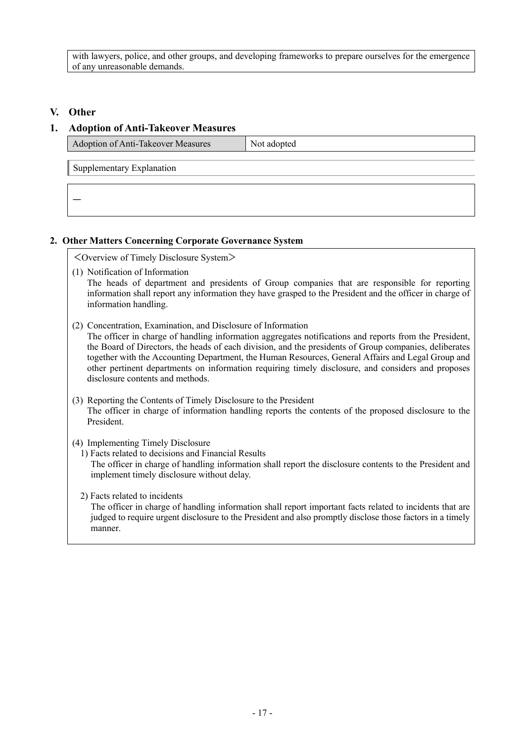with lawyers, police, and other groups, and developing frameworks to prepare ourselves for the emergence of any unreasonable demands.

# **V. Other**

# **1. Adoption of Anti-Takeover Measures**

| Adoption of Anti-Takeover Measures | Not adopted |
|------------------------------------|-------------|
| Supplementary Explanation          |             |
|                                    |             |
|                                    |             |

# **2. Other Matters Concerning Corporate Governance System**

<Overview of Timely Disclosure System>

- (1) Notification of Information The heads of department and presidents of Group companies that are responsible for reporting information shall report any information they have grasped to the President and the officer in charge of information handling.
- (2) Concentration, Examination, and Disclosure of Information

The officer in charge of handling information aggregates notifications and reports from the President, the Board of Directors, the heads of each division, and the presidents of Group companies, deliberates together with the Accounting Department, the Human Resources, General Affairs and Legal Group and other pertinent departments on information requiring timely disclosure, and considers and proposes disclosure contents and methods.

- (3) Reporting the Contents of Timely Disclosure to the President The officer in charge of information handling reports the contents of the proposed disclosure to the President.
- (4) Implementing Timely Disclosure
	- 1) Facts related to decisions and Financial Results The officer in charge of handling information shall report the disclosure contents to the President and implement timely disclosure without delay.
	- 2) Facts related to incidents

The officer in charge of handling information shall report important facts related to incidents that are judged to require urgent disclosure to the President and also promptly disclose those factors in a timely manner.